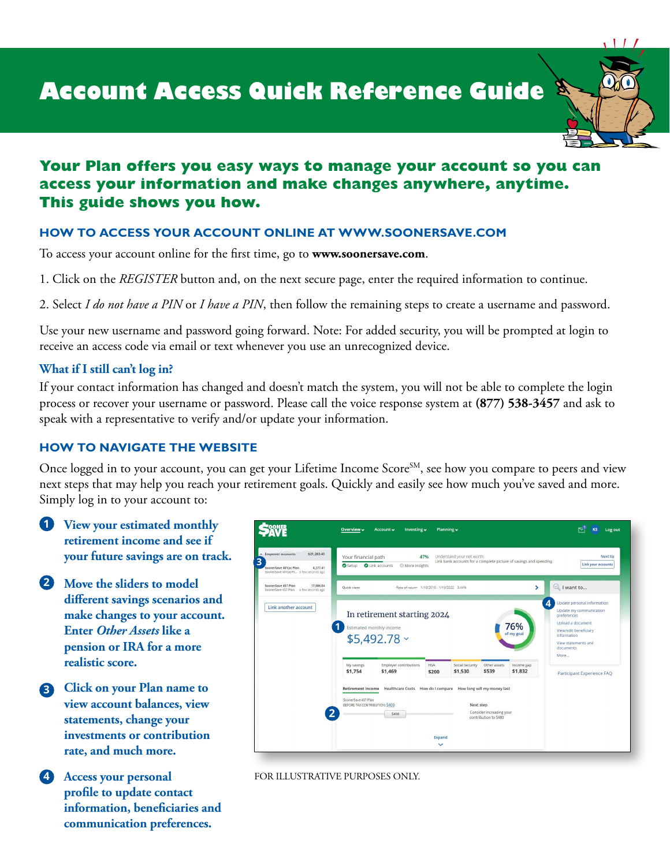

# **Your Plan offers you easy ways to manage your account so you can access your information and make changes anywhere, anytime. This guide shows you how.**

# **HOW TO ACCESS YOUR ACCOUNT ONLINE AT [WWW.SOONERSAVE.COM](http://www.soonersave.com)**

To access your account online for the frst time, go to **[www.soonersave.com](http://www.soonersave.com)**.

1. Click on the *REGISTER* button and, on the next secure page, enter the required information to continue.

2. Select *I do not have a PIN* or *I have a PIN*, then follow the remaining steps to create a username and password.

Use your new username and password going forward. Note: For added security, you will be prompted at login to receive an access code via email or text whenever you use an unrecognized device.

# **What if I still can't log in?**

If your contact information has changed and doesn't match the system, you will not be able to complete the login process or recover your username or password. Please call the voice response system at **(877) 538-3457** and ask to speak with a representative to verify and/or update your information.

# **HOW TO NAVIGATE THE WEBSITE**

Once logged in to your account, you can get your Lifetime Income Score<sup>SM</sup>, see how you compare to peers and view next steps that may help you reach your retirement goals. Quickly and easily see how much you've saved and more. Simply log in to your account to:

- **1 View your estimated monthly retirement income and see if your future savings are on track.**
- **2 Move the sliders to model diferent savings scenarios and make changes to your account. Enter** *Other Assets* **like a pension or IRA for a more realistic score.**
- **3 Click on your Plan name to view account balances, view statements, change your investments or contribution rate, and much more.**
- **4 Access your personal profle to update contact information, benefciaries and communication preferences.**



#### FOR ILLUSTRATIVE PURPOSES ONLY.